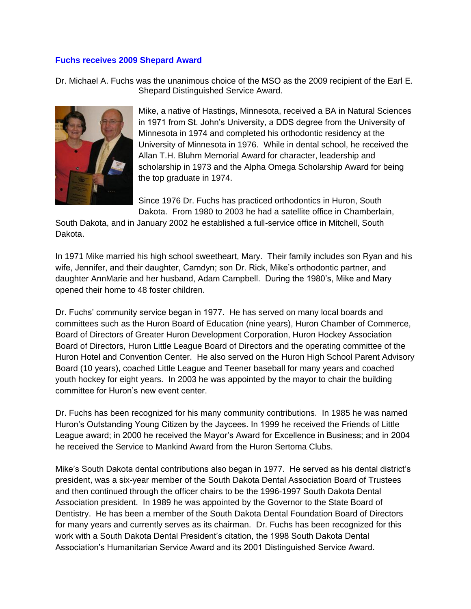## **Fuchs receives 2009 Shepard Award**

Dr. Michael A. Fuchs was the unanimous choice of the MSO as the 2009 recipient of the Earl E. Shepard Distinguished Service Award.



Mike, a native of Hastings, Minnesota, received a BA in Natural Sciences in 1971 from St. John's University, a DDS degree from the University of Minnesota in 1974 and completed his orthodontic residency at the University of Minnesota in 1976. While in dental school, he received the Allan T.H. Bluhm Memorial Award for character, leadership and scholarship in 1973 and the Alpha Omega Scholarship Award for being the top graduate in 1974.

Since 1976 Dr. Fuchs has practiced orthodontics in Huron, South Dakota. From 1980 to 2003 he had a satellite office in Chamberlain,

South Dakota, and in January 2002 he established a full-service office in Mitchell, South Dakota.

In 1971 Mike married his high school sweetheart, Mary. Their family includes son Ryan and his wife, Jennifer, and their daughter, Camdyn; son Dr. Rick, Mike's orthodontic partner, and daughter AnnMarie and her husband, Adam Campbell. During the 1980's, Mike and Mary opened their home to 48 foster children.

Dr. Fuchs' community service began in 1977. He has served on many local boards and committees such as the Huron Board of Education (nine years), Huron Chamber of Commerce, Board of Directors of Greater Huron Development Corporation, Huron Hockey Association Board of Directors, Huron Little League Board of Directors and the operating committee of the Huron Hotel and Convention Center. He also served on the Huron High School Parent Advisory Board (10 years), coached Little League and Teener baseball for many years and coached youth hockey for eight years. In 2003 he was appointed by the mayor to chair the building committee for Huron's new event center.

Dr. Fuchs has been recognized for his many community contributions. In 1985 he was named Huron's Outstanding Young Citizen by the Jaycees. In 1999 he received the Friends of Little League award; in 2000 he received the Mayor's Award for Excellence in Business; and in 2004 he received the Service to Mankind Award from the Huron Sertoma Clubs.

Mike's South Dakota dental contributions also began in 1977. He served as his dental district's president, was a six-year member of the South Dakota Dental Association Board of Trustees and then continued through the officer chairs to be the 1996-1997 South Dakota Dental Association president. In 1989 he was appointed by the Governor to the State Board of Dentistry. He has been a member of the South Dakota Dental Foundation Board of Directors for many years and currently serves as its chairman. Dr. Fuchs has been recognized for this work with a South Dakota Dental President's citation, the 1998 South Dakota Dental Association's Humanitarian Service Award and its 2001 Distinguished Service Award.